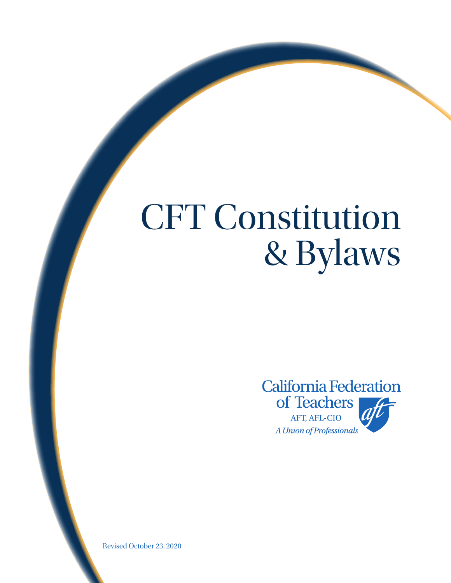# CFT Constitution & Bylaws



Revised October 23, 2020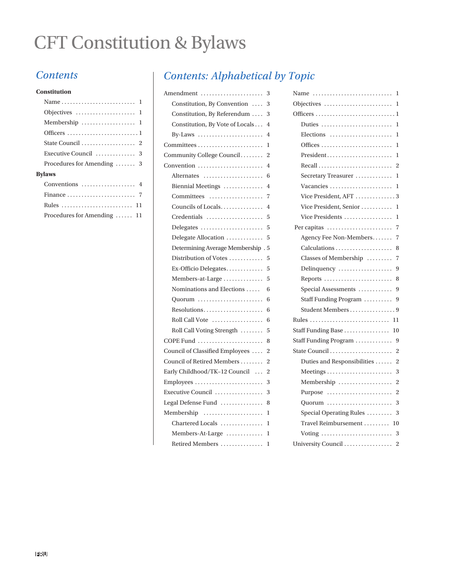# CFT Constitution & Bylaws

#### **Constitution**

| Objectives $\dots\dots\dots\dots\dots\dots\dots$ |
|--------------------------------------------------|
|                                                  |
|                                                  |
|                                                  |
|                                                  |
| Procedures for Amending  3                       |
| <b>Bylaws</b>                                    |
|                                                  |
|                                                  |
|                                                  |
| Procedures for Amending $\dots$ 11               |

# *Contents Contents: Alphabetical by Topic*

| Amendment                                                    | 3              |
|--------------------------------------------------------------|----------------|
| Constitution, By Convention                                  | 3              |
| Constitution, By Referendum                                  | 3              |
| Constitution, By Vote of Locals                              | $\overline{4}$ |
| By-Laws $\dots\dots\dots\dots\dots\dots\dots\dots\dots$      | 4              |
|                                                              | 1              |
| Community College Council                                    | $\overline{2}$ |
| Convention                                                   | 4              |
| Alternates                                                   | 6              |
| Biennial Meetings                                            | 4              |
| Committees                                                   | 7              |
| Councils of Locals                                           | 4              |
| Credentials                                                  | 5              |
| Delegates                                                    | 5              |
| Delegate Allocation                                          | 5              |
| Determining Average Membership. 5                            |                |
| Distribution of Votes                                        | 5              |
| $Ex$ -Officio Delegates                                      | 5              |
| Members-at-Large                                             | 5              |
| Nominations and Elections                                    | 6              |
| Quorum                                                       | 6              |
| Resolutions                                                  | 6              |
| Roll Call Vote                                               | 6              |
| Roll Call Voting Strength                                    | 5              |
| COPE Fund                                                    | 8              |
| Council of Classified Employees                              | $\overline{2}$ |
| Council of Retired Members                                   | 2              |
| Early Childhood/TK-12 Council                                | $\overline{2}$ |
| $Emplorees \ldots \ldots \ldots \ldots \ldots \ldots \ldots$ | 3              |
| Executive Council                                            | 3              |
| Legal Defense Fund                                           | 8              |
| Membership                                                   | 1              |
| Chartered Locals                                             | $\mathbf{1}$   |
| Members-At-Large                                             | 1              |
| Retired Members                                              | 1              |

| Name<br>1                            |
|--------------------------------------|
| 1<br>Objectives                      |
| 1                                    |
| Duties<br>1                          |
| Elections<br>1                       |
| 1                                    |
| President<br>1                       |
| 2                                    |
| Secretary Treasurer<br>1             |
| Vacancies<br>1                       |
| Vice President, AFT<br>3             |
| Vice President, Senior<br>1          |
| Vice Presidents<br>1                 |
| Per capitas<br>7                     |
| Agency Fee Non-Members<br>7          |
| Calculations<br>8                    |
| Classes of Membership<br>7           |
| 9<br>Delinquency                     |
| Reports<br>8                         |
| Special Assessments<br>9             |
| Staff Funding Program<br>9           |
| Student Members<br>. 9               |
| 11                                   |
| Staff Funding Base<br>10             |
| Staff Funding Program<br>9           |
| State Council<br>2                   |
| Duties and Responsibilities<br>2     |
| Meetings<br>3                        |
| $\overline{2}$<br>Membership         |
| $\overline{c}$<br>Purpose            |
| Quorum<br>3                          |
| Special Operating Rules<br>3         |
| Travel Reimbursement<br>10           |
| 3<br>Voting                          |
| University Council<br>$\overline{2}$ |
|                                      |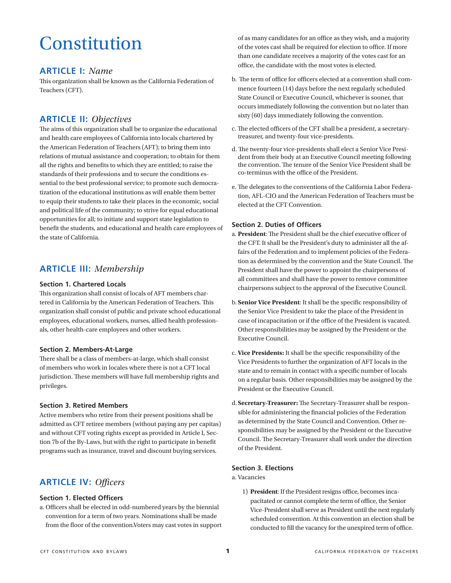# Constitution

## **ARTICLE I:** *Name*

This organization shall be known as the California Federation of Teachers (CFT).

# **ARTICLE II:** *Objectives*

The aims of this organization shall be to organize the educational and health care employees of California into locals chartered by the American Federation of Teachers (AFT); to bring them into relations of mutual assistance and cooperation; to obtain for them all the rights and benefits to which they are entitled; to raise the standards of their professions and to secure the conditions essential to the best professional service; to promote such democratization of the educational institutions as will enable them better to equip their students to take their places in the economic, social and political life of the community; to strive for equal educational opportunities for all; to initiate and support state legislation to benefit the students, and educational and health care employees of the state of California.

# **ARTICLE III:** *Membership*

#### **Section 1. Chartered Locals**

This organization shall consist of locals of AFT members chartered in California by the American Federation of Teachers. This organization shall consist of public and private school educational employees, educational workers, nurses, allied health professionals, other health-care employees and other workers.

#### **Section 2. Members-At-Large**

There shall be a class of members-at-large, which shall consist of members who work in locales where there is not a CFT local jurisdiction. These members will have full membership rights and privileges.

#### **Section 3. Retired Members**

Active members who retire from their present positions shall be admitted as CFT retiree members (without paying any per capitas) and without CFT voting rights except as provided in Article I, Section 7b of the By-Laws, but with the right to participate in benefit programs such as insurance, travel and discount buying services.

# **ARTICLE IV:** *Officers*

#### **Section 1. Elected Officers**

a. Officers shall be elected in odd-numbered years by the biennial convention for a term of two years. Nominations shall be made from the floor of the convention.Voters may cast votes in support of as many candidates for an office as they wish, and a majority of the votes cast shall be required for election to office. If more than one candidate receives a majority of the votes cast for an office, the candidate with the most votes is elected.

- b. The term of office for officers elected at a convention shall commence fourteen (14) days before the next regularly scheduled State Council or Executive Council, whichever is sooner, that occurs immediately following the convention but no later than sixty (60) days immediately following the convention.
- c. The elected officers of the CFT shall be a president, a secretarytreasurer, and twenty-four vice-presidents.
- d. The twenty-four vice-presidents shall elect a Senior Vice President from their body at an Executive Council meeting following the convention. The tenure of the Senior Vice President shall be co-terminus with the office of the President.
- e. The delegates to the conventions of the California Labor Federation, AFL-CIO and the American Federation of Teachers must be elected at the CFT Convention.

#### **Section 2. Duties of Officers**

- a. **President**: The President shall be the chief executive officer of the CFT. It shall be the President's duty to administer all the affairs of the Federation and to implement policies of the Federation as determined by the convention and the State Council. The President shall have the power to appoint the chairpersons of all committees and shall have the power to remove committee chairpersons subject to the approval of the Executive Council.
- b. **Senior Vice President**: It shall be the specific responsibility of the Senior Vice President to take the place of the President in case of incapacitation or if the office of the President is vacated. Other responsibilities may be assigned by the President or the Executive Council.
- c. **Vice Presidents:** It shall be the specific responsibility of the Vice Presidents to further the organization of AFT locals in the state and to remain in contact with a specific number of locals on a regular basis. Other responsibilities may be assigned by the President or the Executive Council.
- d. **Secretary-Treasurer:** The Secretary-Treasurer shall be responsible for administering the financial policies of the Federation as determined by the State Council and Convention. Other responsibilities may be assigned by the President or the Executive Council. The Secretary-Treasurer shall work under the direction of the President.

#### **Section 3. Elections**

#### a. Vacancies

1) **President**: If the President resigns office, becomes incapacitated or cannot complete the term of office, the Senior Vice-President shall serve as President until the next regularly scheduled convention. At this convention an election shall be conducted to fill the vacancy for the unexpired term of office.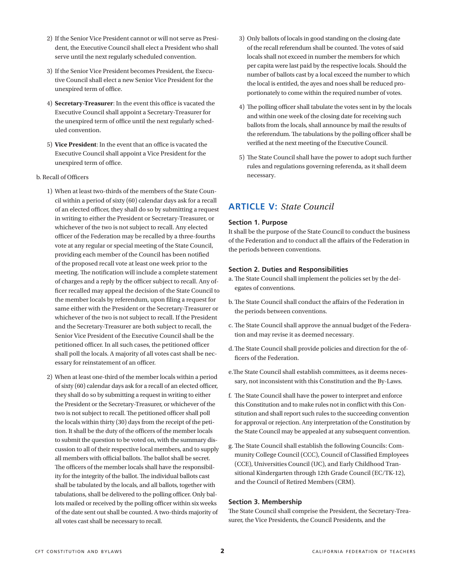- 2) If the Senior Vice President cannot or will not serve as President, the Executive Council shall elect a President who shall serve until the next regularly scheduled convention.
- 3) If the Senior Vice President becomes President, the Executive Council shall elect a new Senior Vice President for the unexpired term of office.
- 4) **Secretary-Treasurer**: In the event this office is vacated the Executive Council shall appoint a Secretary-Treasurer for the unexpired term of office until the next regularly scheduled convention.
- 5) **Vice President**: In the event that an office is vacated the Executive Council shall appoint a Vice President for the unexpired term of office.

#### b. Recall of Officers

- 1) When at least two-thirds of the members of the State Council within a period of sixty (60) calendar days ask for a recall of an elected officer, they shall do so by submitting a request in writing to either the President or Secretary-Treasurer, or whichever of the two is not subject to recall. Any elected officer of the Federation may be recalled by a three-fourths vote at any regular or special meeting of the State Council, providing each member of the Council has been notified of the proposed recall vote at least one week prior to the meeting. The notification will include a complete statement of charges and a reply by the officer subject to recall. Any officer recalled may appeal the decision of the State Council to the member locals by referendum, upon filing a request for same either with the President or the Secretary-Treasurer or whichever of the two is not subject to recall. If the President and the Secretary-Treasurer are both subject to recall, the Senior Vice President of the Executive Council shall be the petitioned officer. In all such cases, the petitioned officer shall poll the locals. A majority of all votes cast shall be necessary for reinstatement of an officer.
- 2) When at least one-third of the member locals within a period of sixty (60) calendar days ask for a recall of an elected officer, they shall do so by submitting a request in writing to either the President or the Secretary-Treasurer, or whichever of the two is not subject to recall. The petitioned officer shall poll the locals within thirty (30) days from the receipt of the petition. It shall be the duty of the officers of the member locals to submit the question to be voted on, with the summary discussion to all of their respective local members, and to supply all members with official ballots. The ballot shall be secret. The officers of the member locals shall have the responsibility for the integrity of the ballot. The individual ballots cast shall be tabulated by the locals, and all ballots, together with tabulations, shall be delivered to the polling officer. Only ballots mailed or received by the polling officer within six weeks of the date sent out shall be counted. A two-thirds majority of all votes cast shall be necessary to recall.
- 3) Only ballots of locals in good standing on the closing date of the recall referendum shall be counted. The votes of said locals shall not exceed in number the members for which per capita were last paid by the respective locals. Should the number of ballots cast by a local exceed the number to which the local is entitled, the ayes and noes shall be reduced proportionately to come within the required number of votes.
- 4) The polling officer shall tabulate the votes sent in by the locals and within one week of the closing date for receiving such ballots from the locals, shall announce by mail the results of the referendum. The tabulations by the polling officer shall be verified at the next meeting of the Executive Council.
- 5) The State Council shall have the power to adopt such further rules and regulations governing referenda, as it shall deem necessary.

# **ARTICLE V:** *State Council*

#### **Section 1. Purpose**

It shall be the purpose of the State Council to conduct the business of the Federation and to conduct all the affairs of the Federation in the periods between conventions.

#### **Section 2. Duties and Responsibilities**

- a. The State Council shall implement the policies set by the delegates of conventions.
- b. The State Council shall conduct the affairs of the Federation in the periods between conventions.
- c. The State Council shall approve the annual budget of the Federation and may revise it as deemed necessary.
- d. The State Council shall provide policies and direction for the officers of the Federation.
- e.The State Council shall establish committees, as it deems necessary, not inconsistent with this Constitution and the By-Laws.
- f. The State Council shall have the power to interpret and enforce this Constitution and to make rules not in conflict with this Constitution and shall report such rules to the succeeding convention for approval or rejection. Any interpretation of the Constitution by the State Council may be appealed at any subsequent convention.
- g. The State Council shall establish the following Councils: Community College Council (CCC), Council of Classified Employees (CCE), Universities Council (UC), and Early Childhood Transitional Kindergarten through 12th Grade Council (EC/TK-12), and the Council of Retired Members (CRM).

#### **Section 3. Membership**

The State Council shall comprise the President, the Secretary-Treasurer, the Vice Presidents, the Council Presidents, and the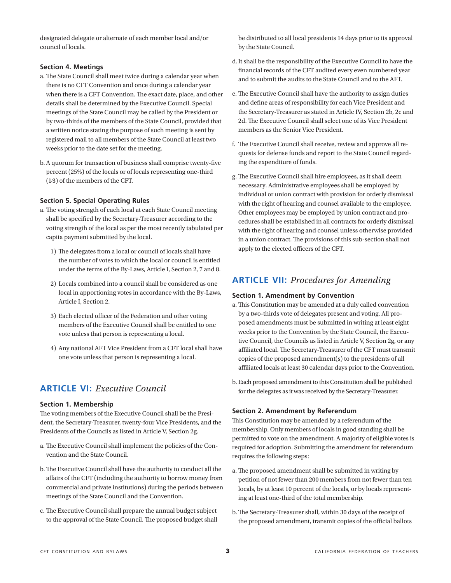designated delegate or alternate of each member local and/or council of locals.

#### **Section 4. Meetings**

- a. The State Council shall meet twice during a calendar year when there is no CFT Convention and once during a calendar year when there is a CFT Convention. The exact date, place, and other details shall be determined by the Executive Council. Special meetings of the State Council may be called by the President or by two-thirds of the members of the State Council, provided that a written notice stating the purpose of such meeting is sent by registered mail to all members of the State Council at least two weeks prior to the date set for the meeting.
- b. A quorum for transaction of business shall comprise twenty-five percent (25%) of the locals or of locals representing one-third (1⁄3) of the members of the CFT.

#### **Section 5. Special Operating Rules**

- a. The voting strength of each local at each State Council meeting shall be specified by the Secretary-Treasurer according to the voting strength of the local as per the most recently tabulated per capita payment submitted by the local.
	- 1) The delegates from a local or council of locals shall have the number of votes to which the local or council is entitled under the terms of the By-Laws, Article I, Section 2, 7 and 8.
	- 2) Locals combined into a council shall be considered as one local in apportioning votes in accordance with the By-Laws, Article I, Section 2.
	- 3) Each elected officer of the Federation and other voting members of the Executive Council shall be entitled to one vote unless that person is representing a local.
	- 4) Any national AFT Vice President from a CFT local shall have one vote unless that person is representing a local.

## **ARTICLE VI:** *Executive Council*

#### **Section 1. Membership**

The voting members of the Executive Council shall be the President, the Secretary-Treasurer, twenty-four Vice Presidents, and the Presidents of the Councils as listed in Article V, Section 2g.

- a. The Executive Council shall implement the policies of the Convention and the State Council.
- b. The Executive Council shall have the authority to conduct all the affairs of the CFT (including the authority to borrow money from commercial and private institutions) during the periods between meetings of the State Council and the Convention.
- c. The Executive Council shall prepare the annual budget subject to the approval of the State Council. The proposed budget shall

be distributed to all local presidents 14 days prior to its approval by the State Council.

- d. It shall be the responsibility of the Executive Council to have the financial records of the CFT audited every even numbered year and to submit the audits to the State Council and to the AFT.
- e. The Executive Council shall have the authority to assign duties and define areas of responsibility for each Vice President and the Secretary-Treasurer as stated in Article IV, Section 2b, 2c and 2d. The Executive Council shall select one of its Vice President members as the Senior Vice President.
- f. The Executive Council shall receive, review and approve all requests for defense funds and report to the State Council regarding the expenditure of funds.
- g. The Executive Council shall hire employees, as it shall deem necessary. Administrative employees shall be employed by individual or union contract with provision for orderly dismissal with the right of hearing and counsel available to the employee. Other employees may be employed by union contract and procedures shall be established in all contracts for orderly dismissal with the right of hearing and counsel unless otherwise provided in a union contract. The provisions of this sub-section shall not apply to the elected officers of the CFT.

## **ARTICLE VII:** *Procedures for Amending*

#### **Section 1. Amendment by Convention**

- a. This Constitution may be amended at a duly called convention by a two-thirds vote of delegates present and voting. All proposed amendments must be submitted in writing at least eight weeks prior to the Convention by the State Council, the Executive Council, the Councils as listed in Article V, Section 2g, or any affiliated local. The Secretary-Treasurer of the CFT must transmit copies of the proposed amendment(s) to the presidents of all affiliated locals at least 30 calendar days prior to the Convention.
- b. Each proposed amendment to this Constitution shall be published for the delegates as it was received by the Secretary-Treasurer.

#### **Section 2. Amendment by Referendum**

This Constitution may be amended by a referendum of the membership. Only members of locals in good standing shall be permitted to vote on the amendment. A majority of eligible votes is required for adoption. Submitting the amendment for referendum requires the following steps:

- a. The proposed amendment shall be submitted in writing by petition of not fewer than 200 members from not fewer than ten locals, by at least 10 percent of the locals, or by locals representing at least one-third of the total membership.
- b. The Secretary-Treasurer shall, within 30 days of the receipt of the proposed amendment, transmit copies of the official ballots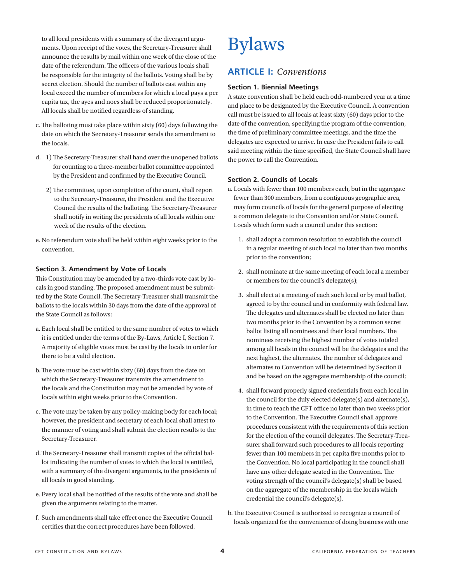to all local presidents with a summary of the divergent arguments. Upon receipt of the votes, the Secretary-Treasurer shall announce the results by mail within one week of the close of the date of the referendum. The officers of the various locals shall be responsible for the integrity of the ballots. Voting shall be by secret election. Should the number of ballots cast within any local exceed the number of members for which a local pays a per capita tax, the ayes and noes shall be reduced proportionately. All locals shall be notified regardless of standing.

- c. The balloting must take place within sixty (60) days following the date on which the Secretary-Treasurer sends the amendment to the locals.
- d. 1) The Secretary-Treasurer shall hand over the unopened ballots for counting to a three-member ballot committee appointed by the President and confirmed by the Executive Council.
	- 2) The committee, upon completion of the count, shall report to the Secretary-Treasurer, the President and the Executive Council the results of the balloting. The Secretary-Treasurer shall notify in writing the presidents of all locals within one week of the results of the election.
- e. No referendum vote shall be held within eight weeks prior to the convention.

#### **Section 3. Amendment by Vote of Locals**

This Constitution may be amended by a two-thirds vote cast by locals in good standing. The proposed amendment must be submitted by the State Council. The Secretary-Treasurer shall transmit the ballots to the locals within 30 days from the date of the approval of the State Council as follows:

- a. Each local shall be entitled to the same number of votes to which it is entitled under the terms of the By-Laws, Article I, Section 7. A majority of eligible votes must be cast by the locals in order for there to be a valid election.
- b. The vote must be cast within sixty (60) days from the date on which the Secretary-Treasurer transmits the amendment to the locals and the Constitution may not be amended by vote of locals within eight weeks prior to the Convention.
- c. The vote may be taken by any policy-making body for each local; however, the president and secretary of each local shall attest to the manner of voting and shall submit the election results to the Secretary-Treasurer.
- d. The Secretary-Treasurer shall transmit copies of the official ballot indicating the number of votes to which the local is entitled, with a summary of the divergent arguments, to the presidents of all locals in good standing.
- e. Every local shall be notified of the results of the vote and shall be given the arguments relating to the matter.
- f. Such amendments shall take effect once the Executive Council certifies that the correct procedures have been followed.

# Bylaws

# **ARTICLE I:** *Conventions*

#### **Section 1. Biennial Meetings**

A state convention shall be held each odd-numbered year at a time and place to be designated by the Executive Council. A convention call must be issued to all locals at least sixty (60) days prior to the date of the convention, specifying the program of the convention, the time of preliminary committee meetings, and the time the delegates are expected to arrive. In case the President fails to call said meeting within the time specified, the State Council shall have the power to call the Convention.

#### **Section 2. Councils of Locals**

a. Locals with fewer than 100 members each, but in the aggregate fewer than 300 members, from a contiguous geographic area, may form councils of locals for the general purpose of electing a common delegate to the Convention and/or State Council. Locals which form such a council under this section:

- 1. shall adopt a common resolution to establish the council in a regular meeting of such local no later than two months prior to the convention;
- 2. shall nominate at the same meeting of each local a member or members for the council's delegate(s);
- 3. shall elect at a meeting of each such local or by mail ballot, agreed to by the council and in conformity with federal law. The delegates and alternates shall be elected no later than two months prior to the Convention by a common secret ballot listing all nominees and their local numbers. The nominees receiving the highest number of votes totaled among all locals in the council will be the delegates and the next highest, the alternates. The number of delegates and alternates to Convention will be determined by Section 8 and be based on the aggregate membership of the council;
- 4. shall forward properly signed credentials from each local in the council for the duly elected delegate(s) and alternate(s), in time to reach the CFT office no later than two weeks prior to the Convention. The Executive Council shall approve procedures consistent with the requirements of this section for the election of the council delegates. The Secretary-Treasurer shall forward such procedures to all locals reporting fewer than 100 members in per capita five months prior to the Convention. No local participating in the council shall have any other delegate seated in the Convention. The voting strength of the council's delegate(s) shall be based on the aggregate of the membership in the locals which credential the council's delegate(s).
- b. The Executive Council is authorized to recognize a council of locals organized for the convenience of doing business with one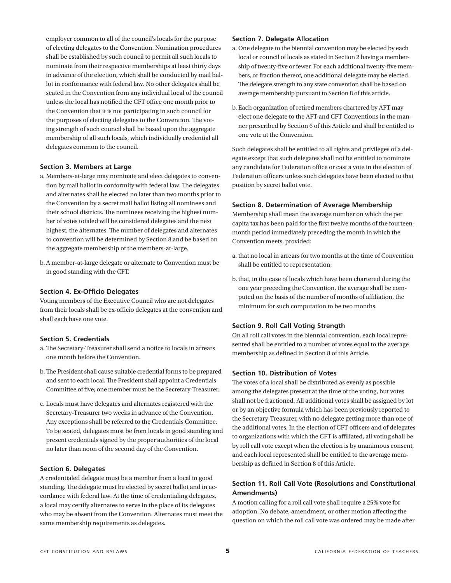employer common to all of the council's locals for the purpose of electing delegates to the Convention. Nomination procedures shall be established by such council to permit all such locals to nominate from their respective memberships at least thirty days in advance of the election, which shall be conducted by mail ballot in conformance with federal law. No other delegates shall be seated in the Convention from any individual local of the council unless the local has notified the CFT office one month prior to the Convention that it is not participating in such council for the purposes of electing delegates to the Convention. The voting strength of such council shall be based upon the aggregate membership of all such locals, which individually credential all delegates common to the council.

#### **Section 3. Members at Large**

- a. Members-at-large may nominate and elect delegates to convention by mail ballot in conformity with federal law. The delegates and alternates shall be elected no later than two months prior to the Convention by a secret mail ballot listing all nominees and their school districts. The nominees receiving the highest number of votes totaled will be considered delegates and the next highest, the alternates. The number of delegates and alternates to convention will be determined by Section 8 and be based on the aggregate membership of the members-at-large.
- b. A member-at-large delegate or alternate to Convention must be in good standing with the CFT.

#### **Section 4. Ex-Officio Delegates**

Voting members of the Executive Council who are not delegates from their locals shall be ex-officio delegates at the convention and shall each have one vote.

#### **Section 5. Credentials**

- a. The Secretary-Treasurer shall send a notice to locals in arrears one month before the Convention.
- b. The President shall cause suitable credential forms to be prepared and sent to each local. The President shall appoint a Credentials Committee of five; one member must be the Secretary-Treasurer.
- c. Locals must have delegates and alternates registered with the Secretary-Treasurer two weeks in advance of the Convention. Any exceptions shall be referred to the Credentials Committee. To be seated, delegates must be from locals in good standing and present credentials signed by the proper authorities of the local no later than noon of the second day of the Convention.

#### **Section 6. Delegates**

A credentialed delegate must be a member from a local in good standing. The delegate must be elected by secret ballot and in accordance with federal law. At the time of credentialing delegates, a local may certify alternates to serve in the place of its delegates who may be absent from the Convention. Alternates must meet the same membership requirements as delegates.

#### **Section 7. Delegate Allocation**

- a. One delegate to the biennial convention may be elected by each local or council of locals as stated in Section 2 having a membership of twenty-five or fewer. For each additional twenty-five members, or fraction thereof, one additional delegate may be elected. The delegate strength to any state convention shall be based on average membership pursuant to Section 8 of this article.
- b. Each organization of retired members chartered by AFT may elect one delegate to the AFT and CFT Conventions in the manner prescribed by Section 6 of this Article and shall be entitled to one vote at the Convention.

Such delegates shall be entitled to all rights and privileges of a delegate except that such delegates shall not be entitled to nominate any candidate for Federation office or cast a vote in the election of Federation officers unless such delegates have been elected to that position by secret ballot vote.

#### **Section 8. Determination of Average Membership**

Membership shall mean the average number on which the per capita tax has been paid for the first twelve months of the fourteenmonth period immediately preceding the month in which the Convention meets, provided:

- a. that no local in arrears for two months at the time of Convention shall be entitled to representation;
- b. that, in the case of locals which have been chartered during the one year preceding the Convention, the average shall be computed on the basis of the number of months of affiliation, the minimum for such computation to be two months.

#### **Section 9. Roll Call Voting Strength**

On all roll call votes in the biennial convention, each local represented shall be entitled to a number of votes equal to the average membership as defined in Section 8 of this Article.

#### **Section 10. Distribution of Votes**

The votes of a local shall be distributed as evenly as possible among the delegates present at the time of the voting, but votes shall not be fractioned. All additional votes shall be assigned by lot or by an objective formula which has been previously reported to the Secretary-Treasurer, with no delegate getting more than one of the additional votes. In the election of CFT officers and of delegates to organizations with which the CFT is affiliated, all voting shall be by roll call vote except when the election is by unanimous consent, and each local represented shall be entitled to the average membership as defined in Section 8 of this Article.

#### **Section 11. Roll Call Vote (Resolutions and Constitutional Amendments)**

A motion calling for a roll call vote shall require a 25% vote for adoption. No debate, amendment, or other motion affecting the question on which the roll call vote was ordered may be made after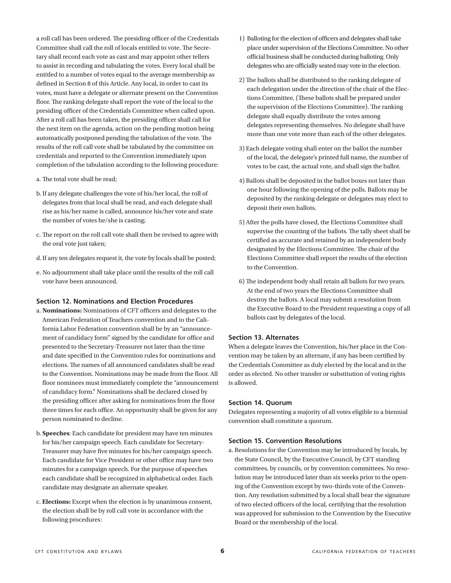a roll call has been ordered. The presiding officer of the Credentials Committee shall call the roll of locals entitled to vote. The Secretary shall record each vote as cast and may appoint other tellers to assist in recording and tabulating the votes. Every local shall be entitled to a number of votes equal to the average membership as defined in Section 8 of this Article. Any local, in order to cast its votes, must have a delegate or alternate present on the Convention floor. The ranking delegate shall report the vote of the local to the presiding officer of the Credentials Committee when called upon. After a roll call has been taken, the presiding officer shall call for the next item on the agenda, action on the pending motion being automatically postponed pending the tabulation of the vote. The results of the roll call vote shall be tabulated by the committee on credentials and reported to the Convention immediately upon completion of the tabulation according to the following procedure:

- a. The total vote shall be read;
- b. If any delegate challenges the vote of his/her local, the roll of delegates from that local shall be read, and each delegate shall rise as his/her name is called, announce his/her vote and state the number of votes he/she is casting;
- c. The report on the roll call vote shall then be revised to agree with the oral vote just taken;
- d. If any ten delegates request it, the vote by locals shall be posted;
- e. No adjournment shall take place until the results of the roll call vote have been announced.

#### **Section 12. Nominations and Election Procedures**

- a. **Nominations:** Nominations of CFT officers and delegates to the American Federation of Teachers convention and to the California Labor Federation convention shall be by an "announcement of candidacy form" signed by the candidate for office and presented to the Secretary-Treasurer not later than the time and date specified in the Convention rules for nominations and elections. The names of all announced candidates shall be read to the Convention. Nominations may be made from the floor. All floor nominees must immediately complete the "announcement of candidacy form." Nominations shall be declared closed by the presiding officer after asking for nominations from the floor three times for each office. An opportunity shall be given for any person nominated to decline.
- b. **Speeches**: Each candidate for president may have ten minutes for his/her campaign speech. Each candidate for Secretary-Treasurer may have five minutes for his/her campaign speech. Each candidate for Vice President or other office may have two minutes for a campaign speech. For the purpose of speeches each candidate shall be recognized in alphabetical order. Each candidate may designate an alternate speaker.
- c. **Elections:** Except when the election is by unanimous consent, the election shall be by roll call vote in accordance with the following procedures:
- 1) Balloting for the election of officers and delegates shall take place under supervision of the Elections Committee. No other official business shall be conducted during balloting. Only delegates who are officially seated may vote in the election.
- 2) The ballots shall be distributed to the ranking delegate of each delegation under the direction of the chair of the Elections Committee. (These ballots shall be prepared under the supervision of the Elections Committee). The ranking delegate shall equally distribute the votes among delegates representing themselves. No delegate shall have more than one vote more than each of the other delegates.
- 3) Each delegate voting shall enter on the ballot the number of the local, the delegate's printed full name, the number of votes to be cast, the actual vote, and shall sign the ballot.
- 4) Ballots shall be deposited in the ballot boxes not later than one hour following the opening of the polls. Ballots may be deposited by the ranking delegate or delegates may elect to deposit their own ballots.
- 5) After the polls have closed, the Elections Committee shall supervise the counting of the ballots. The tally sheet shall be certified as accurate and retained by an independent body designated by the Elections Committee. The chair of the Elections Committee shall report the results of the election to the Convention.
- 6) The independent body shall retain all ballots for two years. At the end of two years the Elections Committee shall destroy the ballots. A local may submit a resolution from the Executive Board to the President requesting a copy of all ballots cast by delegates of the local.

#### **Section 13. Alternates**

When a delegate leaves the Convention, his/her place in the Convention may be taken by an alternate, if any has been certified by the Credentials Committee as duly elected by the local and in the order as elected. No other transfer or substitution of voting rights is allowed.

#### **Section 14. Quorum**

Delegates representing a majority of all votes eligible to a biennial convention shall constitute a quorum.

#### **Section 15. Convention Resolutions**

a. Resolutions for the Convention may be introduced by locals, by the State Council, by the Executive Council, by CFT standing committees, by councils, or by convention committees. No resolution may be introduced later than six weeks prior to the opening of the Convention except by two-thirds vote of the Convention. Any resolution submitted by a local shall bear the signature of two elected officers of the local, certifying that the resolution was approved for submission to the Convention by the Executive Board or the membership of the local.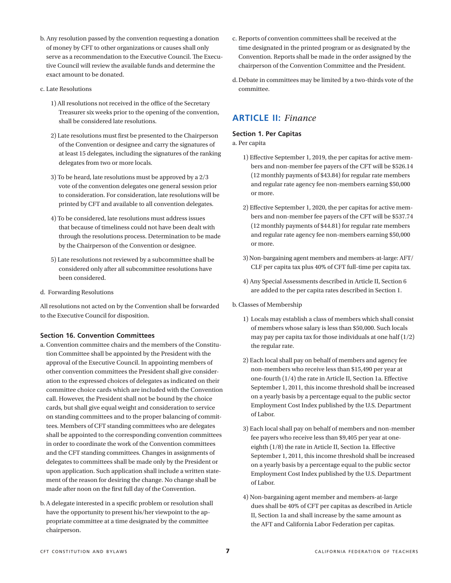- b. Any resolution passed by the convention requesting a donation of money by CFT to other organizations or causes shall only serve as a recommendation to the Executive Council. The Executive Council will review the available funds and determine the exact amount to be donated.
- c. Late Resolutions
	- 1) All resolutions not received in the office of the Secretary Treasurer six weeks prior to the opening of the convention, shall be considered late resolutions.
	- 2) Late resolutions must first be presented to the Chairperson of the Convention or designee and carry the signatures of at least 15 delegates, including the signatures of the ranking delegates from two or more locals.
	- 3) To be heard, late resolutions must be approved by a 2/3 vote of the convention delegates one general session prior to consideration. For consideration, late resolutions will be printed by CFT and available to all convention delegates.
	- 4) To be considered, late resolutions must address issues that because of timeliness could not have been dealt with through the resolutions process. Determination to be made by the Chairperson of the Convention or designee.
	- 5) Late resolutions not reviewed by a subcommittee shall be considered only after all subcommittee resolutions have been considered.
- d. Forwarding Resolutions

All resolutions not acted on by the Convention shall be forwarded to the Executive Council for disposition.

#### **Section 16. Convention Committees**

- a. Convention committee chairs and the members of the Constitution Committee shall be appointed by the President with the approval of the Executive Council. In appointing members of other convention committees the President shall give consideration to the expressed choices of delegates as indicated on their committee choice cards which are included with the Convention call. However, the President shall not be bound by the choice cards, but shall give equal weight and consideration to service on standing committees and to the proper balancing of committees. Members of CFT standing committees who are delegates shall be appointed to the corresponding convention committees in order to coordinate the work of the Convention committees and the CFT standing committees. Changes in assignments of delegates to committees shall be made only by the President or upon application. Such application shall include a written statement of the reason for desiring the change. No change shall be made after noon on the first full day of the Convention.
- b. A delegate interested in a specific problem or resolution shall have the opportunity to present his/her viewpoint to the appropriate committee at a time designated by the committee chairperson.
- c. Reports of convention committees shall be received at the time designated in the printed program or as designated by the Convention. Reports shall be made in the order assigned by the chairperson of the Convention Committee and the President.
- d. Debate in committees may be limited by a two-thirds vote of the committee.

# **ARTICLE II:** *Finance*

#### **Section 1. Per Capitas**

a. Per capita

- 1) Effective September 1, 2019, the per capitas for active members and non-member fee payers of the CFT will be \$526.14 (12 monthly payments of \$43.84) for regular rate members and regular rate agency fee non-members earning \$50,000 or more.
- 2) Effective September 1, 2020, the per capitas for active members and non-member fee payers of the CFT will be \$537.74 (12 monthly payments of \$44.81) for regular rate members and regular rate agency fee non-members earning \$50,000 or more.
- 3) Non-bargaining agent members and members-at-large: AFT/ CLF per capita tax plus 40% of CFT full-time per capita tax.
- 4) Any Special Assessments described in Article II, Section 6 are added to the per capita rates described in Section 1.
- b. Classes of Membership
	- 1) Locals may establish a class of members which shall consist of members whose salary is less than \$50,000. Such locals may pay per capita tax for those individuals at one half  $(1/2)$ the regular rate.
	- 2) Each local shall pay on behalf of members and agency fee non-members who receive less than \$15,490 per year at one-fourth (1/4) the rate in Article II, Section 1a. Effective September 1, 2011, this income threshold shall be increased on a yearly basis by a percentage equal to the public sector Employment Cost Index published by the U.S. Department of Labor.
	- 3) Each local shall pay on behalf of members and non-member fee payers who receive less than \$9,405 per year at oneeighth (1/8) the rate in Article II, Section 1a. Effective September 1, 2011, this income threshold shall be increased on a yearly basis by a percentage equal to the public sector Employment Cost Index published by the U.S. Department of Labor.
	- 4) Non-bargaining agent member and members-at-large dues shall be 40% of CFT per capitas as described in Article II, Section 1a and shall increase by the same amount as the AFT and California Labor Federation per capitas.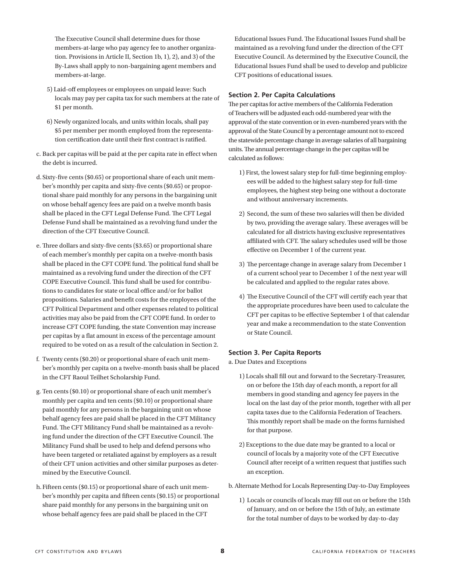The Executive Council shall determine dues for those members-at-large who pay agency fee to another organization. Provisions in Article II, Section 1b, 1), 2), and 3) of the By-Laws shall apply to non-bargaining agent members and members-at-large.

- 5) Laid-off employees or employees on unpaid leave: Such locals may pay per capita tax for such members at the rate of \$1 per month.
- 6) Newly organized locals, and units within locals, shall pay \$5 per member per month employed from the representation certification date until their first contract is ratified.
- c. Back per capitas will be paid at the per capita rate in effect when the debt is incurred.
- d. Sixty-five cents (\$0.65) or proportional share of each unit member's monthly per capita and sixty-five cents (\$0.65) or proportional share paid monthly for any persons in the bargaining unit on whose behalf agency fees are paid on a twelve month basis shall be placed in the CFT Legal Defense Fund. The CFT Legal Defense Fund shall be maintained as a revolving fund under the direction of the CFT Executive Council.
- e. Three dollars and sixty-five cents (\$3.65) or proportional share of each member's monthly per capita on a twelve-month basis shall be placed in the CFT COPE fund. The political fund shall be maintained as a revolving fund under the direction of the CFT COPE Executive Council. This fund shall be used for contributions to candidates for state or local office and/or for ballot propositions. Salaries and benefit costs for the employees of the CFT Political Department and other expenses related to political activities may also be paid from the CFT COPE fund. In order to increase CFT COPE funding, the state Convention may increase per capitas by a flat amount in excess of the percentage amount required to be voted on as a result of the calculation in Section 2.
- f. Twenty cents (\$0.20) or proportional share of each unit member's monthly per capita on a twelve-month basis shall be placed in the CFT Raoul Teilhet Scholarship Fund.
- g. Ten cents (\$0.10) or proportional share of each unit member's monthly per capita and ten cents (\$0.10) or proportional share paid monthly for any persons in the bargaining unit on whose behalf agency fees are paid shall be placed in the CFT Militancy Fund. The CFT Militancy Fund shall be maintained as a revolving fund under the direction of the CFT Executive Council. The Militancy Fund shall be used to help and defend persons who have been targeted or retaliated against by employers as a result of their CFT union activities and other similar purposes as determined by the Executive Council.
- h. Fifteen cents (\$0.15) or proportional share of each unit member's monthly per capita and fifteen cents (\$0.15) or proportional share paid monthly for any persons in the bargaining unit on whose behalf agency fees are paid shall be placed in the CFT

Educational Issues Fund. The Educational Issues Fund shall be maintained as a revolving fund under the direction of the CFT Executive Council. As determined by the Executive Council, the Educational Issues Fund shall be used to develop and publicize CFT positions of educational issues.

### **Section 2. Per Capita Calculations**

The per capitas for active members of the California Federation of Teachers will be adjusted each odd-numbered year with the approval of the state convention or in even-numbered years with the approval of the State Council by a percentage amount not to exceed the statewide percentage change in average salaries of all bargaining units. The annual percentage change in the per capitas will be calculated as follows:

- 1) First, the lowest salary step for full-time beginning employees will be added to the highest salary step for full-time employees, the highest step being one without a doctorate and without anniversary increments.
- 2) Second, the sum of these two salaries will then be divided by two, providing the average salary. These averages will be calculated for all districts having exclusive representatives affiliated with CFT. The salary schedules used will be those effective on December 1 of the current year.
- 3) The percentage change in average salary from December 1 of a current school year to December 1 of the next year will be calculated and applied to the regular rates above.
- 4) The Executive Council of the CFT will certify each year that the appropriate procedures have been used to calculate the CFT per capitas to be effective September 1 of that calendar year and make a recommendation to the state Convention or State Council.

#### **Section 3. Per Capita Reports**

a. Due Dates and Exceptions

- 1) Locals shall fill out and forward to the Secretary-Treasurer, on or before the 15th day of each month, a report for all members in good standing and agency fee payers in the local on the last day of the prior month, together with all per capita taxes due to the California Federation of Teachers. This monthly report shall be made on the forms furnished for that purpose.
- 2) Exceptions to the due date may be granted to a local or council of locals by a majority vote of the CFT Executive Council after receipt of a written request that justifies such an exception.
- b. Alternate Method for Locals Representing Day-to-Day Employees
	- 1) Locals or councils of locals may fill out on or before the 15th of January, and on or before the 15th of July, an estimate for the total number of days to be worked by day-to-day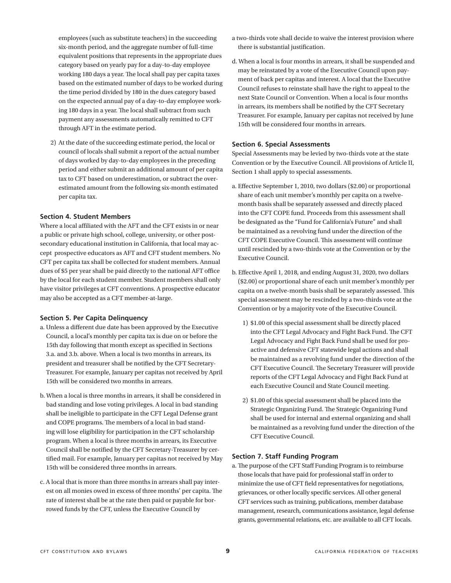employees (such as substitute teachers) in the succeeding six-month period, and the aggregate number of full-time equivalent positions that represents in the appropriate dues category based on yearly pay for a day-to-day employee working 180 days a year. The local shall pay per capita taxes based on the estimated number of days to be worked during the time period divided by 180 in the dues category based on the expected annual pay of a day-to-day employee working 180 days in a year. The local shall subtract from such payment any assessments automatically remitted to CFT through AFT in the estimate period.

2) At the date of the succeeding estimate period, the local or council of locals shall submit a report of the actual number of days worked by day-to-day employees in the preceding period and either submit an additional amount of per capita tax to CFT based on underestimation, or subtract the overestimated amount from the following six-month estimated per capita tax.

#### **Section 4. Student Members**

Where a local affiliated with the AFT and the CFT exists in or near a public or private high school, college, university, or other postsecondary educational institution in California, that local may accept prospective educators as AFT and CFT student members. No CFT per capita tax shall be collected for student members. Annual dues of \$5 per year shall be paid directly to the national AFT office by the local for each student member. Student members shall only have visitor privileges at CFT conventions. A prospective educator may also be accepted as a CFT member-at-large.

#### **Section 5. Per Capita Delinquency**

- a. Unless a different due date has been approved by the Executive Council, a local's monthly per capita tax is due on or before the 15th day following that month except as specified in Sections 3.a. and 3.b. above. When a local is two months in arrears, its president and treasurer shall be notified by the CFT Secretary-Treasurer. For example, January per capitas not received by April 15th will be considered two months in arrears.
- b. When a local is three months in arrears, it shall be considered in bad standing and lose voting privileges. A local in bad standing shall be ineligible to participate in the CFT Legal Defense grant and COPE programs. The members of a local in bad standing will lose eligibility for participation in the CFT scholarship program. When a local is three months in arrears, its Executive Council shall be notified by the CFT Secretary-Treasurer by certified mail. For example, January per capitas not received by May 15th will be considered three months in arrears.
- c. A local that is more than three months in arrears shall pay interest on all monies owed in excess of three months' per capita. The rate of interest shall be at the rate then paid or payable for borrowed funds by the CFT, unless the Executive Council by
- a two-thirds vote shall decide to waive the interest provision where there is substantial justification.
- d. When a local is four months in arrears, it shall be suspended and may be reinstated by a vote of the Executive Council upon payment of back per capitas and interest. A local that the Executive Council refuses to reinstate shall have the right to appeal to the next State Council or Convention. When a local is four months in arrears, its members shall be notified by the CFT Secretary Treasurer. For example, January per capitas not received by June 15th will be considered four months in arrears.

#### **Section 6. Special Assessments**

Special Assessments may be levied by two-thirds vote at the state Convention or by the Executive Council. All provisions of Article II, Section 1 shall apply to special assessments.

- a. Effective September 1, 2010, two dollars (\$2.00) or proportional share of each unit member's monthly per capita on a twelvemonth basis shall be separately assessed and directly placed into the CFT COPE fund. Proceeds from this assessment shall be designated as the "Fund for California's Future" and shall be maintained as a revolving fund under the direction of the CFT COPE Executive Council. This assessment will continue until rescinded by a two-thirds vote at the Convention or by the Executive Council.
- b. Effective April 1, 2018, and ending August 31, 2020, two dollars (\$2.00) or proportional share of each unit member's monthly per capita on a twelve-month basis shall be separately assessed. This special assessment may be rescinded by a two-thirds vote at the Convention or by a majority vote of the Executive Council.
	- 1) \$1.00 of this special assessment shall be directly placed into the CFT Legal Advocacy and Fight Back Fund. The CFT Legal Advocacy and Fight Back Fund shall be used for proactive and defensive CFT statewide legal actions and shall be maintained as a revolving fund under the direction of the CFT Executive Council. The Secretary Treasurer will provide reports of the CFT Legal Advocacy and Fight Back Fund at each Executive Council and State Council meeting.
	- 2) \$1.00 of this special assessment shall be placed into the Strategic Organizing Fund. The Strategic Organizing Fund shall be used for internal and external organizing and shall be maintained as a revolving fund under the direction of the CFT Executive Council.

#### **Section 7. Staff Funding Program**

a. The purpose of the CFT Staff Funding Program is to reimburse those locals that have paid for professional staff in order to minimize the use of CFT field representatives for negotiations, grievances, or other locally specific services. All other general CFT services such as training, publications, member database management, research, communications assistance, legal defense grants, governmental relations, etc. are available to all CFT locals.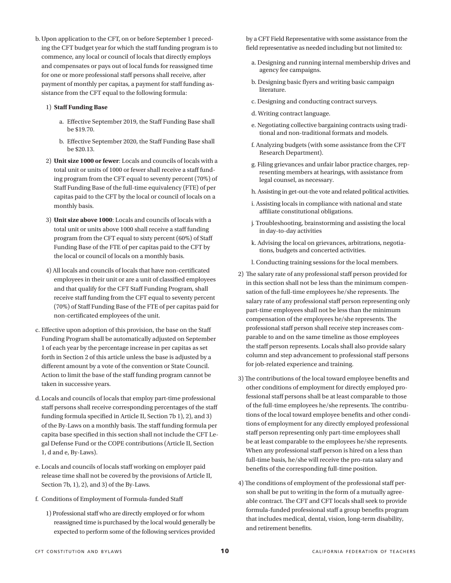b. Upon application to the CFT, on or before September 1 preceding the CFT budget year for which the staff funding program is to commence, any local or council of locals that directly employs and compensates or pays out of local funds for reassigned time for one or more professional staff persons shall receive, after payment of monthly per capitas, a payment for staff funding assistance from the CFT equal to the following formula:

#### 1) **Staff Funding Base**

- a. Effective September 2019, the Staff Funding Base shall be \$19.70.
- b. Effective September 2020, the Staff Funding Base shall be \$20.13.
- 2) **Unit size 1000 or fewer**: Locals and councils of locals with a total unit or units of 1000 or fewer shall receive a staff funding program from the CFT equal to seventy percent (70%) of Staff Funding Base of the full-time equivalency (FTE) of per capitas paid to the CFT by the local or council of locals on a monthly basis.
- 3) **Unit size above 1000**: Locals and councils of locals with a total unit or units above 1000 shall receive a staff funding program from the CFT equal to sixty percent (60%) of Staff Funding Base of the FTE of per capitas paid to the CFT by the local or council of locals on a monthly basis.
- 4) All locals and councils of locals that have non-certificated employees in their unit or are a unit of classified employees and that qualify for the CFT Staff Funding Program, shall receive staff funding from the CFT equal to seventy percent (70%) of Staff Funding Base of the FTE of per capitas paid for non-certificated employees of the unit.
- c. Effective upon adoption of this provision, the base on the Staff Funding Program shall be automatically adjusted on September 1 of each year by the percentage increase in per capitas as set forth in Section 2 of this article unless the base is adjusted by a different amount by a vote of the convention or State Council. Action to limit the base of the staff funding program cannot be taken in successive years.
- d. Locals and councils of locals that employ part-time professional staff persons shall receive corresponding percentages of the staff funding formula specified in Article II, Section 7b 1), 2), and 3) of the By-Laws on a monthly basis. The staff funding formula per capita base specified in this section shall not include the CFT Legal Defense Fund or the COPE contributions (Article II, Section 1, d and e, By-Laws).
- e. Locals and councils of locals staff working on employer paid release time shall not be covered by the provisions of Article II, Section 7b, 1), 2), and 3) of the By-Laws.
- f. Conditions of Employment of Formula-funded Staff
	- 1) Professional staff who are directly employed or for whom reassigned time is purchased by the local would generally be expected to perform some of the following services provided

by a CFT Field Representative with some assistance from the field representative as needed including but not limited to:

- a. Designing and running internal membership drives and agency fee campaigns.
- b. Designing basic flyers and writing basic campaign literature.
- c. Designing and conducting contract surveys.
- d. Writing contract language.
- e. Negotiating collective bargaining contracts using traditional and non-traditional formats and models.
- f. Analyzing budgets (with some assistance from the CFT Research Department).
- g. Filing grievances and unfair labor practice charges, representing members at hearings, with assistance from legal counsel, as necessary.
- h. Assisting in get-out-the vote and related political activities.
- i. Assisting locals in compliance with national and state affiliate constitutional obligations.
- j. Troubleshooting, brainstorming and assisting the local in day-to-day activities
- k. Advising the local on grievances, arbitrations, negotiations, budgets and concerted activities.
- l. Conducting training sessions for the local members.
- 2) The salary rate of any professional staff person provided for in this section shall not be less than the minimum compensation of the full-time employees he/she represents. The salary rate of any professional staff person representing only part-time employees shall not be less than the minimum compensation of the employees he/she represents. The professional staff person shall receive step increases comparable to and on the same timeline as those employees the staff person represents. Locals shall also provide salary column and step advancement to professional staff persons for job-related experience and training.
- 3) The contributions of the local toward employee benefits and other conditions of employment for directly employed professional staff persons shall be at least comparable to those of the full-time employees he/she represents. The contributions of the local toward employee benefits and other conditions of employment for any directly employed professional staff person representing only part-time employees shall be at least comparable to the employees he/she represents. When any professional staff person is hired on a less than full-time basis, he/she will receive the pro-rata salary and benefits of the corresponding full-time position.
- 4) The conditions of employment of the professional staff person shall be put to writing in the form of a mutually agreeable contract. The CFT and CFT locals shall seek to provide formula-funded professional staff a group benefits program that includes medical, dental, vision, long-term disability, and retirement benefits.